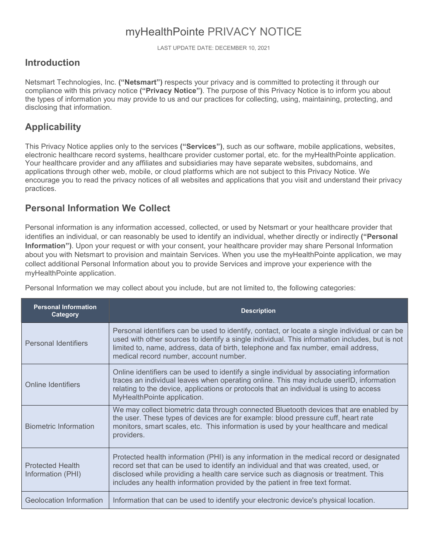# myHealthPointe PRIVACY NOTICE

LAST UPDATE DATE: DECEMBER 10, 2021

### **Introduction**

Netsmart Technologies, Inc. **("Netsmart")** respects your privacy and is committed to protecting it through our compliance with this privacy notice **("Privacy Notice")**. The purpose of this Privacy Notice is to inform you about the types of information you may provide to us and our practices for collecting, using, maintaining, protecting, and disclosing that information.

## **Applicability**

This Privacy Notice applies only to the services **("Services")**, such as our software, mobile applications, websites, electronic healthcare record systems, healthcare provider customer portal, etc. for the myHealthPointe application.<br>Your healthcare provider and any affiliates and subsidiaries may have separate websites, subdomains, and applications through other web, mobile, or cloud platforms which are not subject to this Privacy Notice. We encourage you to read the privacy notices of all websites and applications that you visit and understand their privacy practices.

### **Personal Information We Collect**

Personal information is any information accessed, collected, or used by Netsmart or your healthcare provider that identifies an individual, or can reasonably be used to identify an individual, whether directly or indirectly **("Personal Information")**. Upon your request or with your consent, your healthcare provider may share Personal Information about you with Netsmart to provision and maintain Services. When you use the myHealthPointe application, we may collect additional Personal Information about you to provide Services and improve your experience with the myHealthPointe application.

Personal Information we may collect about you include, but are not limited to, the following categories:

| <b>Personal Information</b><br>Category      | <b>Description</b>                                                                                                                                                                                                                                                                                                                                        |
|----------------------------------------------|-----------------------------------------------------------------------------------------------------------------------------------------------------------------------------------------------------------------------------------------------------------------------------------------------------------------------------------------------------------|
| <b>Personal Identifiers</b>                  | Personal identifiers can be used to identify, contact, or locate a single individual or can be<br>used with other sources to identify a single individual. This information includes, but is not<br>limited to, name, address, data of birth, telephone and fax number, email address,<br>medical record number, account number.                          |
| <b>Online Identifiers</b>                    | Online identifiers can be used to identify a single individual by associating information<br>traces an individual leaves when operating online. This may include userID, information<br>relating to the device, applications or protocols that an individual is using to access<br>MyHealthPointe application.                                            |
| <b>Biometric Information</b>                 | We may collect biometric data through connected Bluetooth devices that are enabled by<br>the user. These types of devices are for example: blood pressure cuff, heart rate<br>monitors, smart scales, etc. This information is used by your healthcare and medical<br>providers.                                                                          |
| <b>Protected Health</b><br>Information (PHI) | Protected health information (PHI) is any information in the medical record or designated<br>record set that can be used to identify an individual and that was created, used, or<br>disclosed while providing a health care service such as diagnosis or treatment. This<br>includes any health information provided by the patient in free text format. |
| Geolocation Information                      | Information that can be used to identify your electronic device's physical location.                                                                                                                                                                                                                                                                      |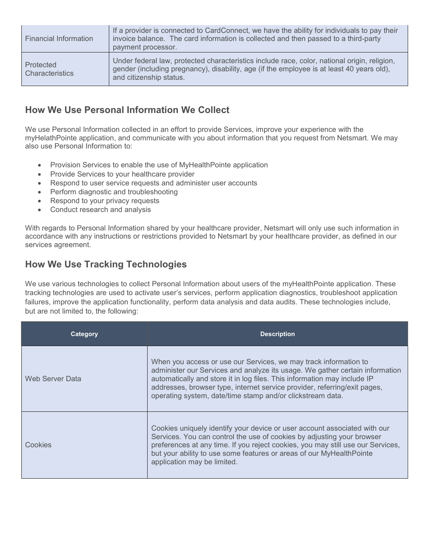| <b>Financial Information</b>        | If a provider is connected to CardConnect, we have the ability for individuals to pay their<br>invoice balance. The card information is collected and then passed to a third-party<br>payment processor.             |
|-------------------------------------|----------------------------------------------------------------------------------------------------------------------------------------------------------------------------------------------------------------------|
| Protected<br><b>Characteristics</b> | Under federal law, protected characteristics include race, color, national origin, religion,<br>gender (including pregnancy), disability, age (if the employee is at least 40 years old),<br>and citizenship status. |

### **How We Use Personal Information We Collect**

We use Personal Information collected in an effort to provide Services, improve your experience with the myHelathPointe application, and communicate with you about information that you request from Netsmart. We may also use Personal Information to:

- Provision Services to enable the use of MyHealthPointe application
- Provide Services to your healthcare provider
- Respond to user service requests and administer user accounts
- Perform diagnostic and troubleshooting
- Respond to your privacy requests
- Conduct research and analysis

With regards to Personal Information shared by your healthcare provider, Netsmart will only use such information in accordance with any instructions or restrictions provided to Netsmart by your healthcare provider, as defined in our services agreement.

## **How We Use Tracking Technologies**

We use various technologies to collect Personal Information about users of the myHealthPointe application. These tracking technologies are used to activate user's services, perform application diagnostics, troubleshoot application failures, improve the application functionality, perform data analysis and data audits. These technologies include, but are not limited to, the following:

| Category        | <b>Description</b>                                                                                                                                                                                                                                                                                                                                                      |
|-----------------|-------------------------------------------------------------------------------------------------------------------------------------------------------------------------------------------------------------------------------------------------------------------------------------------------------------------------------------------------------------------------|
| Web Server Data | When you access or use our Services, we may track information to<br>administer our Services and analyze its usage. We gather certain information<br>automatically and store it in log files. This information may include IP<br>addresses, browser type, internet service provider, referring/exit pages,<br>operating system, date/time stamp and/or clickstream data. |
| Cookies         | Cookies uniquely identify your device or user account associated with our<br>Services. You can control the use of cookies by adjusting your browser<br>preferences at any time. If you reject cookies, you may still use our Services,<br>but your ability to use some features or areas of our MyHealthPointe<br>application may be limited.                           |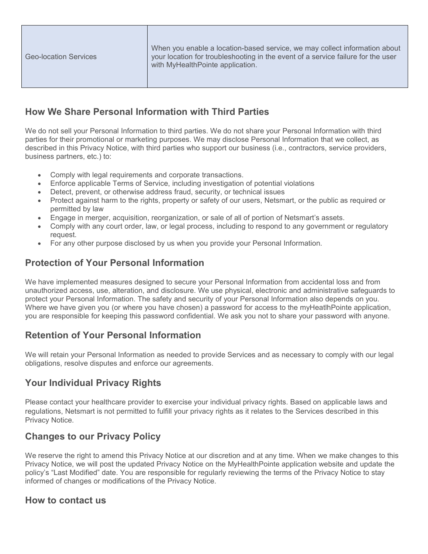### **How We Share Personal Information with Third Parties**

We do not sell your Personal Information to third parties. We do not share your Personal Information with third parties for their promotional or marketing purposes. We may disclose Personal Information that we collect, as described in this Privacy Notice, with third parties who support our business (i.e., contractors, service providers, business partners, etc.) to:

- Comply with legal requirements and corporate transactions.
- Enforce applicable Terms of Service, including investigation of potential violations
- Detect, prevent, or otherwise address fraud, security, or technical issues
- Protect against harm to the rights, property or safety of our users, Netsmart, or the public as required or permitted by law
- Engage in merger, acquisition, reorganization, or sale of all of portion of Netsmart's assets.
- Comply with any court order, law, or legal process, including to respond to any government or regulatory request.
- For any other purpose disclosed by us when you provide your Personal Information.

#### **Protection of Your Personal Information**

We have implemented measures designed to secure your Personal Information from accidental loss and from unauthorized access, use, alteration, and disclosure. We use physical, electronic and administrative safeguards to protect your Personal Information. The safety and security of your Personal Information also depends on you.<br>Where we have given you (or where you have chosen) a password for access to the myHeatlhPointe application, you are responsible for keeping this password confidential. We ask you not to share your password with anyone.

#### **Retention of Your Personal Information**

We will retain your Personal Information as needed to provide Services and as necessary to comply with our legal obligations, resolve disputes and enforce our agreements.

### **Your Individual Privacy Rights**

Please contact your healthcare provider to exercise your individual privacy rights. Based on applicable laws and regulations, Netsmart is not permitted to fulfill your privacy rights as it relates to the Services described in this Privacy Notice.

### **Changes to our Privacy Policy**

We reserve the right to amend this Privacy Notice at our discretion and at any time. When we make changes to this Privacy Notice, we will post the updated Privacy Notice on the MyHealthPointe application website and update the policy's "Last Modified" date. You are responsible for regularly reviewing the terms of the Privacy Notice to stay informed of changes or modifications of the Privacy Notice.

#### **How to contact us**